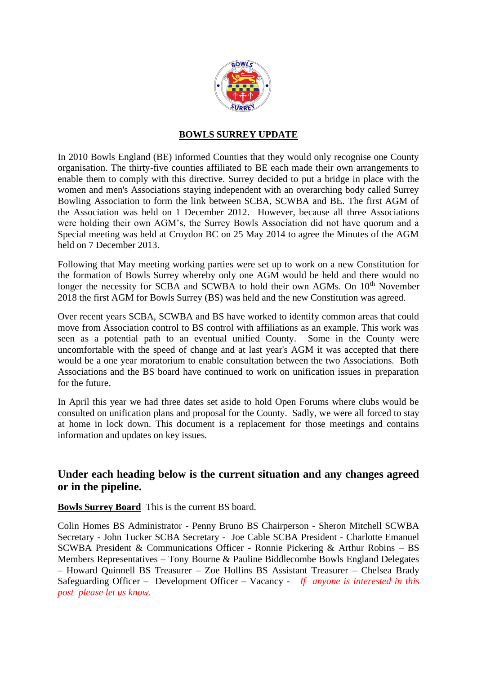

## **BOWLS SURREY UPDATE**

In 2010 Bowls England (BE) informed Counties that they would only recognise one County organisation. The thirty-five counties affiliated to BE each made their own arrangements to enable them to comply with this directive. Surrey decided to put a bridge in place with the women and men's Associations staying independent with an overarching body called Surrey Bowling Association to form the link between SCBA, SCWBA and BE. The first AGM of the Association was held on 1 December 2012. However, because all three Associations were holding their own AGM's, the Surrey Bowls Association did not have quorum and a Special meeting was held at Croydon BC on 25 May 2014 to agree the Minutes of the AGM held on 7 December 2013.

Following that May meeting working parties were set up to work on a new Constitution for the formation of Bowls Surrey whereby only one AGM would be held and there would no longer the necessity for SCBA and SCWBA to hold their own AGMs. On  $10<sup>th</sup>$  November 2018 the first AGM for Bowls Surrey (BS) was held and the new Constitution was agreed.

Over recent years SCBA, SCWBA and BS have worked to identify common areas that could move from Association control to BS control with affiliations as an example. This work was seen as a potential path to an eventual unified County. Some in the County were uncomfortable with the speed of change and at last year's AGM it was accepted that there would be a one year moratorium to enable consultation between the two Associations. Both Associations and the BS board have continued to work on unification issues in preparation for the future.

In April this year we had three dates set aside to hold Open Forums where clubs would be consulted on unification plans and proposal for the County. Sadly, we were all forced to stay at home in lock down. This document is a replacement for those meetings and contains information and updates on key issues.

# **Under each heading below is the current situation and any changes agreed or in the pipeline.**

**Bowls Surrey Board** This is the current BS board.

Colin Homes BS Administrator - Penny Bruno BS Chairperson - Sheron Mitchell SCWBA Secretary - John Tucker SCBA Secretary - Joe Cable SCBA President - Charlotte Emanuel SCWBA President & Communications Officer - Ronnie Pickering & Arthur Robins – BS Members Representatives – Tony Bourne & Pauline Biddlecombe Bowls England Delegates – Howard Quinnell BS Treasurer – Zoe Hollins BS Assistant Treasurer – Chelsea Brady Safeguarding Officer – Development Officer – Vacancy - *If anyone is interested in this post please let us know.*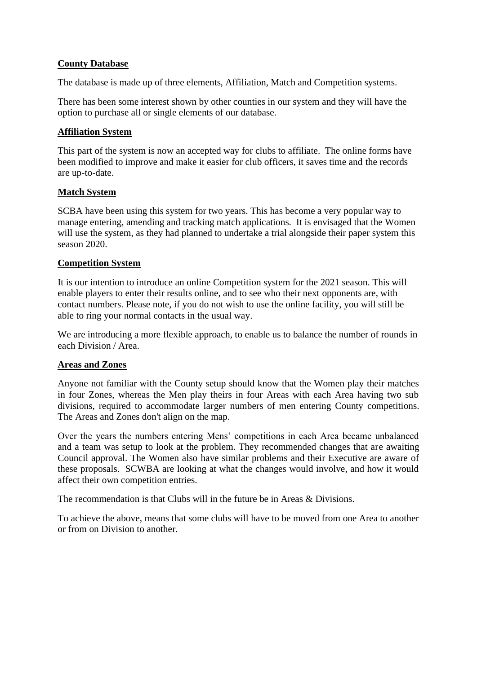## **County Database**

The database is made up of three elements, Affiliation, Match and Competition systems.

There has been some interest shown by other counties in our system and they will have the option to purchase all or single elements of our database.

## **Affiliation System**

This part of the system is now an accepted way for clubs to affiliate. The online forms have been modified to improve and make it easier for club officers, it saves time and the records are up-to-date.

## **Match System**

SCBA have been using this system for two years. This has become a very popular way to manage entering, amending and tracking match applications. It is envisaged that the Women will use the system, as they had planned to undertake a trial alongside their paper system this season 2020.

## **Competition System**

It is our intention to introduce an online Competition system for the 2021 season. This will enable players to enter their results online, and to see who their next opponents are, with contact numbers. Please note, if you do not wish to use the online facility, you will still be able to ring your normal contacts in the usual way.

We are introducing a more flexible approach, to enable us to balance the number of rounds in each Division / Area.

## **Areas and Zones**

Anyone not familiar with the County setup should know that the Women play their matches in four Zones, whereas the Men play theirs in four Areas with each Area having two sub divisions, required to accommodate larger numbers of men entering County competitions. The Areas and Zones don't align on the map.

Over the years the numbers entering Mens' competitions in each Area became unbalanced and a team was setup to look at the problem. They recommended changes that are awaiting Council approval. The Women also have similar problems and their Executive are aware of these proposals. SCWBA are looking at what the changes would involve, and how it would affect their own competition entries.

The recommendation is that Clubs will in the future be in Areas & Divisions.

To achieve the above, means that some clubs will have to be moved from one Area to another or from on Division to another.